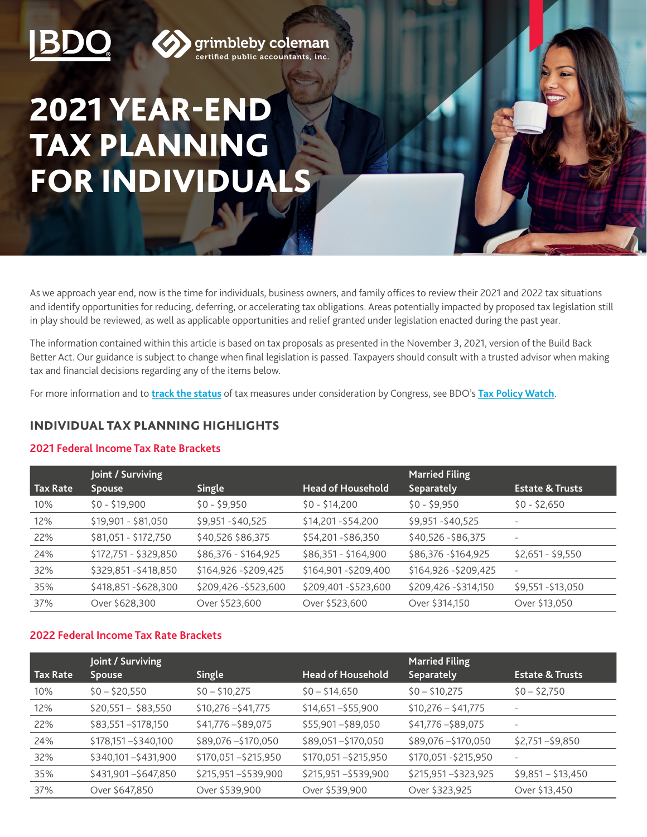



**grimbleby coleman**<br>certified public accountants, inc.

# 2021 YEAR-END TAX PLANNING FOR INDIVIDUALS

As we approach year end, now is the time for individuals, business owners, and family offices to review their 2021 and 2022 tax situations and identify opportunities for reducing, deferring, or accelerating tax obligations. Areas potentially impacted by proposed tax legislation still in play should be reviewed, as well as applicable opportunities and relief granted under legislation enacted during the past year.

The information contained within this article is based on tax proposals as presented in the November 3, 2021, version of the Build Back Better Act. Our guidance is subject to change when final legislation is passed. Taxpayers should consult with a trusted advisor when making tax and financial decisions regarding any of the items below.

For more information and to **[track the status](https://www.bdo.com/insights/tax/federal-tax/tracking-federal-tax-legislative-proposals)** of tax measures under consideration by Congress, see BDO's **[Tax Policy Watch](https://www.bdo.com/resources/tax-policy-watch)**.

# INDIVIDUAL TAX PLANNING HIGHLIGHTS

#### **2021 Federal Income Tax Rate Brackets**

|          | Joint / Surviving     |                       |                          | <b>Married Filing</b> |                            |
|----------|-----------------------|-----------------------|--------------------------|-----------------------|----------------------------|
| Tax Rate | <b>Spouse</b>         | <b>Single</b>         | <b>Head of Household</b> | Separately            | <b>Estate &amp; Trusts</b> |
| 10%      | $$0 - $19,900$        | $$0 - $9,950$         | $$0 - $14,200$           | $$0 - $9,950$         | $$0 - $2,650$              |
| 12%      | \$19,901 - \$81,050   | \$9,951-\$40,525      | \$14,201-\$54,200        | \$9,951-\$40,525      |                            |
| 22%      | \$81,051 - \$172,750  | \$40,526 \$86,375     | \$54,201-\$86,350        | \$40,526 - \$86,375   | $\overline{\phantom{a}}$   |
| 24%      | \$172,751 - \$329,850 | \$86,376 - \$164,925  | \$86,351 - \$164,900     | \$86,376 - \$164,925  | $$2,651 - $9,550$          |
| 32%      | \$329,851-\$418,850   | \$164,926 - \$209,425 | \$164,901-\$209,400      | \$164,926 - \$209,425 | $\overline{\phantom{0}}$   |
| 35%      | \$418,851-\$628,300   | \$209,426 - \$523,600 | \$209,401-\$523,600      | \$209,426 - \$314,150 | \$9,551-\$13,050           |
| 37%      | Over \$628,300        | Over \$523,600        | Over \$523,600           | Over \$314,150        | Over \$13,050              |

# **2022 Federal Income Tax Rate Brackets**

|          | Joint / Surviving     |                      |                          | <b>Married Filing</b> |                            |  |
|----------|-----------------------|----------------------|--------------------------|-----------------------|----------------------------|--|
| Tax Rate | <b>Spouse</b>         | <b>Single</b>        | <b>Head of Household</b> | <b>Separately</b>     | <b>Estate &amp; Trusts</b> |  |
| 10%      | $$0 - $20,550$        | $$0 - $10,275$       | $$0 - $14,650$           | $$0 - $10,275$        | $$0 - $2,750$              |  |
| 12%      | $$20,551 - $83,550$   | $$10,276 - $41,775$  | $$14,651 - $55,900$      | $$10,276 - $41,775$   | $\qquad \qquad$            |  |
| 22%      | $$83,551 - $178,150$  | $$41,776 - $89,075$  | \$55,901-\$89,050        | \$41,776 - \$89,075   |                            |  |
| 24%      | $$178,151 - $340,100$ | \$89,076 - \$170,050 | \$89,051-\$170,050       | \$89,076 - \$170,050  | $$2,751 - $9,850$          |  |
| 32%      | \$340,101-\$431,900   | \$170,051-\$215,950  | \$170,051-\$215,950      | \$170,051 - \$215,950 | $\qquad \qquad -$          |  |
| 35%      | \$431,901-\$647,850   | \$215,951-\$539,900  | \$215,951-\$539,900      | \$215,951-\$323,925   | $$9,851 - $13,450$         |  |
| 37%      | Over \$647,850        | Over \$539,900       | Over \$539,900           | Over \$323,925        | Over \$13,450              |  |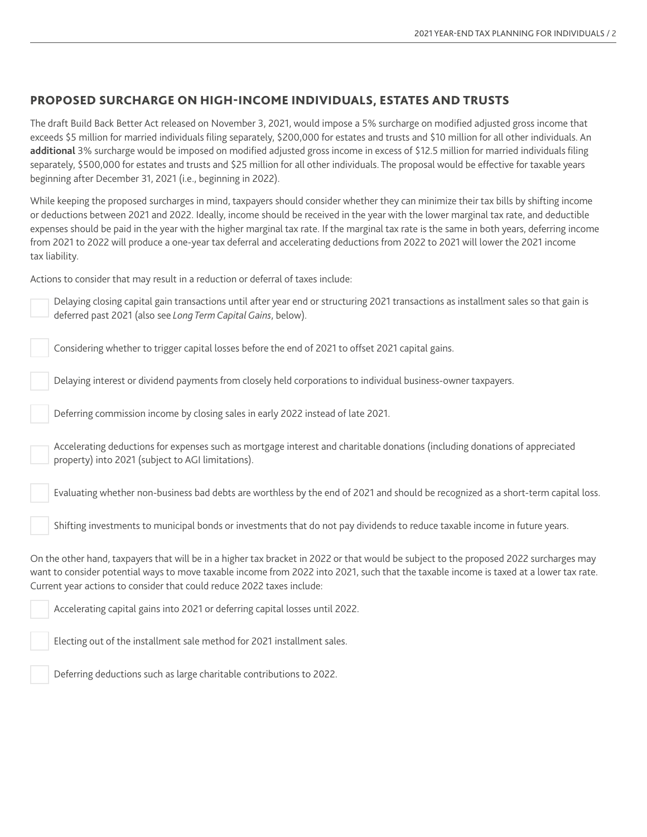## PROPOSED SURCHARGE ON HIGH-INCOME INDIVIDUALS, ESTATES AND TRUSTS

The draft Build Back Better Act released on November 3, 2021, would impose a 5% surcharge on modified adjusted gross income that exceeds \$5 million for married individuals filing separately, \$200,000 for estates and trusts and \$10 million for all other individuals. An **additional** 3% surcharge would be imposed on modified adjusted gross income in excess of \$12.5 million for married individuals filing separately, \$500,000 for estates and trusts and \$25 million for all other individuals. The proposal would be effective for taxable years beginning after December 31, 2021 (i.e., beginning in 2022).

While keeping the proposed surcharges in mind, taxpayers should consider whether they can minimize their tax bills by shifting income or deductions between 2021 and 2022. Ideally, income should be received in the year with the lower marginal tax rate, and deductible expenses should be paid in the year with the higher marginal tax rate. If the marginal tax rate is the same in both years, deferring income from 2021 to 2022 will produce a one-year tax deferral and accelerating deductions from 2022 to 2021 will lower the 2021 income tax liability.

Actions to consider that may result in a reduction or deferral of taxes include:

Delaying closing capital gain transactions until after year end or structuring 2021 transactions as installment sales so that gain is deferred past 2021 (also see *Long Term Capital Gains*, below).

Considering whether to trigger capital losses before the end of 2021 to offset 2021 capital gains.

Delaying interest or dividend payments from closely held corporations to individual business-owner taxpayers.

Deferring commission income by closing sales in early 2022 instead of late 2021.

Accelerating deductions for expenses such as mortgage interest and charitable donations (including donations of appreciated property) into 2021 (subject to AGI limitations).

Evaluating whether non-business bad debts are worthless by the end of 2021 and should be recognized as a short-term capital loss.

Shifting investments to municipal bonds or investments that do not pay dividends to reduce taxable income in future years.

On the other hand, taxpayers that will be in a higher tax bracket in 2022 or that would be subject to the proposed 2022 surcharges may want to consider potential ways to move taxable income from 2022 into 2021, such that the taxable income is taxed at a lower tax rate. Current year actions to consider that could reduce 2022 taxes include:

Accelerating capital gains into 2021 or deferring capital losses until 2022.

Electing out of the installment sale method for 2021 installment sales.

Deferring deductions such as large charitable contributions to 2022.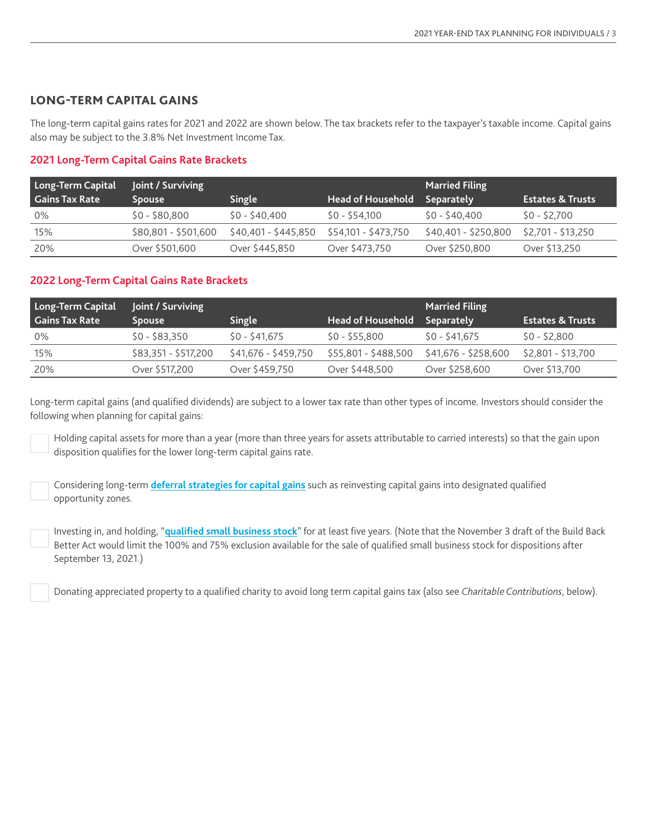## LONG-TERM CAPITAL GAINS

The long-term capital gains rates for 2021 and 2022 are shown below. The tax brackets refer to the taxpayer's taxable income. Capital gains also may be subject to the 3.8% Net Investment Income Tax.

## **2021 Long-Term Capital Gains Rate Brackets**

| Long-Term Capital     | Joint / Surviving    |                      |                          | <b>Married Filing</b> |                             |
|-----------------------|----------------------|----------------------|--------------------------|-----------------------|-----------------------------|
| <b>Gains Tax Rate</b> | <b>Spouse</b>        | Single               | <b>Head of Household</b> | <b>Separately</b>     | <b>Estates &amp; Trusts</b> |
| 0%                    | $$0 - $80.800$       | \$0 - \$40,400       | $SO - S54,100$           | \$0 - \$40,400        | \$0 - \$2.700               |
| 15%                   | \$80,801 - \$501,600 | \$40,401 - \$445,850 | \$54,101 - \$473,750     | $$40,401 - $250,800$  | $$2,701 - $13,250$          |
| 20%                   | Over \$501,600       | Over \$445,850       | Over \$473,750           | Over \$250,800        | Over \$13,250               |

#### **2022 Long-Term Capital Gains Rate Brackets**

| Long-Term Capital     | Joint / Surviving    |                      |                          | <b>Married Filing</b> |                             |
|-----------------------|----------------------|----------------------|--------------------------|-----------------------|-----------------------------|
| <b>Gains Tax Rate</b> | <b>Spouse</b>        | Single               | <b>Head of Household</b> | <b>Separately</b>     | <b>Estates &amp; Trusts</b> |
| 0%                    | $$0 - $83.350$       | \$0 - \$41.675       | \$0 - \$55.800           | \$0 - \$41.675        | $$0 - $2,800$               |
| 15%                   | \$83,351 - \$517,200 | \$41,676 - \$459,750 | \$55,801 - \$488,500     | \$41,676 - \$258,600  | \$2,801 - \$13,700          |
| 20%                   | Over \$517,200       | Over \$459,750       | Over \$448,500           | Over \$258,600        | Over \$13,700               |

Long-term capital gains (and qualified dividends) are subject to a lower tax rate than other types of income. Investors should consider the following when planning for capital gains:

Holding capital assets for more than a year (more than three years for assets attributable to carried interests) so that the gain upon disposition qualifies for the lower long-term capital gains rate.

Considering long-term **[deferral strategies for capital gains](https://www.bdo.com/insights/tax/federal-tax/key-tax-strategies-to-consider-for-capital-gains)** such as reinvesting capital gains into designated qualified opportunity zones.

Investing in, and holding, "**[qualified small business stock](https://www.bdo.com/insights/industries/private-equity/qualified-small-business-stock-can-provide-a-strat)**" for at least five years. (Note that the November 3 draft of the Build Back Better Act would limit the 100% and 75% exclusion available for the sale of qualified small business stock for dispositions after September 13, 2021.)

Donating appreciated property to a qualified charity to avoid long term capital gains tax (also see *Charitable Contributions*, below).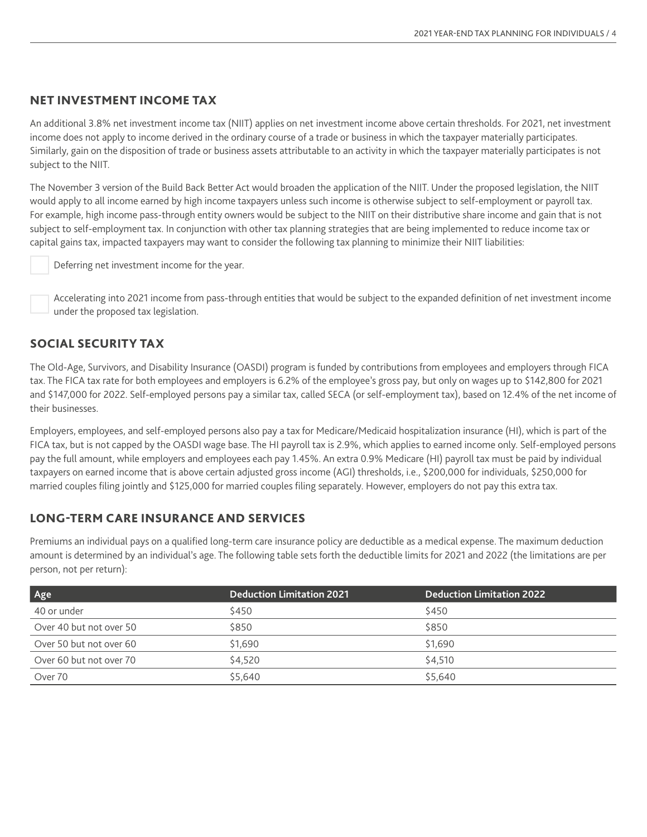## NET INVESTMENT INCOME TAX

An additional 3.8% net investment income tax (NIIT) applies on net investment income above certain thresholds. For 2021, net investment income does not apply to income derived in the ordinary course of a trade or business in which the taxpayer materially participates. Similarly, gain on the disposition of trade or business assets attributable to an activity in which the taxpayer materially participates is not subject to the NIIT.

The November 3 version of the Build Back Better Act would broaden the application of the NIIT. Under the proposed legislation, the NIIT would apply to all income earned by high income taxpayers unless such income is otherwise subject to self-employment or payroll tax. For example, high income pass-through entity owners would be subject to the NIIT on their distributive share income and gain that is not subject to self-employment tax. In conjunction with other tax planning strategies that are being implemented to reduce income tax or capital gains tax, impacted taxpayers may want to consider the following tax planning to minimize their NIIT liabilities:

Deferring net investment income for the year.

Accelerating into 2021 income from pass-through entities that would be subject to the expanded definition of net investment income under the proposed tax legislation.

#### SOCIAL SECURITY TAX

The Old-Age, Survivors, and Disability Insurance (OASDI) program is funded by contributions from employees and employers through FICA tax. The FICA tax rate for both employees and employers is 6.2% of the employee's gross pay, but only on wages up to \$142,800 for 2021 and \$147,000 for 2022. Self-employed persons pay a similar tax, called SECA (or self-employment tax), based on 12.4% of the net income of their businesses.

Employers, employees, and self-employed persons also pay a tax for Medicare/Medicaid hospitalization insurance (HI), which is part of the FICA tax, but is not capped by the OASDI wage base. The HI payroll tax is 2.9%, which applies to earned income only. Self-employed persons pay the full amount, while employers and employees each pay 1.45%. An extra 0.9% Medicare (HI) payroll tax must be paid by individual taxpayers on earned income that is above certain adjusted gross income (AGI) thresholds, i.e., \$200,000 for individuals, \$250,000 for married couples filing jointly and \$125,000 for married couples filing separately. However, employers do not pay this extra tax.

#### LONG-TERM CARE INSURANCE AND SERVICES

Premiums an individual pays on a qualified long-term care insurance policy are deductible as a medical expense. The maximum deduction amount is determined by an individual's age. The following table sets forth the deductible limits for 2021 and 2022 (the limitations are per person, not per return):

| Age                     | <b>Deduction Limitation 2021</b> | <b>Deduction Limitation 2022</b> |
|-------------------------|----------------------------------|----------------------------------|
| 40 or under             | \$450                            | \$450                            |
| Over 40 but not over 50 | \$850                            | \$850                            |
| Over 50 but not over 60 | \$1.690                          | \$1,690                          |
| Over 60 but not over 70 | \$4,520                          | \$4.510                          |
| Over 70                 | \$5.640                          | \$5,640                          |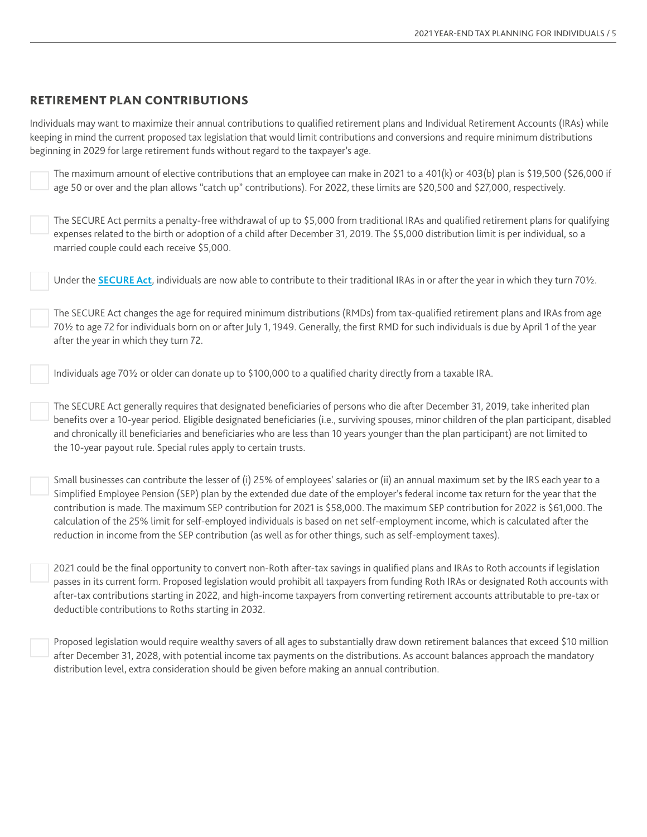#### RETIREMENT PLAN CONTRIBUTIONS

Individuals may want to maximize their annual contributions to qualified retirement plans and Individual Retirement Accounts (IRAs) while keeping in mind the current proposed tax legislation that would limit contributions and conversions and require minimum distributions beginning in 2029 for large retirement funds without regard to the taxpayer's age.

The maximum amount of elective contributions that an employee can make in 2021 to a 401(k) or 403(b) plan is \$19,500 (\$26,000 if age 50 or over and the plan allows "catch up" contributions). For 2022, these limits are \$20,500 and \$27,000, respectively.

The [SECURE Act](https://www.bdo.com/insights/tax/compensation-benefits/new-opportunities-for-workplace-retirement-plans-u) permits a penalty-free withdrawal of up to \$5,000 from traditional IRAs and qualified retirement plans for qualifying expenses related to the birth or adoption of a child after December 31, 2019. The \$5,000 distribution limit is per individual, so a married couple could each receive \$5,000.

Under the **[SECURE Act](https://www.bdo.com/insights/tax/compensation-benefits/new-opportunities-for-workplace-retirement-plans-u)**, individuals are now able to contribute to their traditional IRAs in or after the year in which they turn 70½.

The SECURE Act changes the age for required minimum distributions (RMDs) from tax-qualified retirement plans and IRAs from age 70½ to age 72 for individuals born on or after July 1, 1949. Generally, the first RMD for such individuals is due by April 1 of the year after the year in which they turn 72.

Individuals age 70½ or older can donate up to \$100,000 to a qualified charity directly from a taxable IRA.

The SECURE Act generally requires that designated beneficiaries of persons who die after December 31, 2019, take inherited plan benefits over a 10-year period. Eligible designated beneficiaries (i.e., surviving spouses, minor children of the plan participant, disabled and chronically ill beneficiaries and beneficiaries who are less than 10 years younger than the plan participant) are not limited to the 10-year payout rule. Special rules apply to certain trusts.

Small businesses can contribute the lesser of (i) 25% of employees' salaries or (ii) an annual maximum set by the IRS each year to a Simplified Employee Pension (SEP) plan by the extended due date of the employer's federal income tax return for the year that the contribution is made. The maximum SEP contribution for 2021 is \$58,000. The maximum SEP contribution for 2022 is \$61,000. The calculation of the 25% limit for self-employed individuals is based on net self-employment income, which is calculated after the reduction in income from the SEP contribution (as well as for other things, such as self-employment taxes).

2021 could be the final opportunity to convert non-Roth after-tax savings in qualified plans and IRAs to Roth accounts if legislation passes in its current form. Proposed legislation would prohibit all taxpayers from funding Roth IRAs or designated Roth accounts with after-tax contributions starting in 2022, and high-income taxpayers from converting retirement accounts attributable to pre-tax or deductible contributions to Roths starting in 2032.

Proposed legislation would require wealthy savers of all ages to substantially draw down retirement balances that exceed \$10 million after December 31, 2028, with potential income tax payments on the distributions. As account balances approach the mandatory distribution level, extra consideration should be given before making an annual contribution.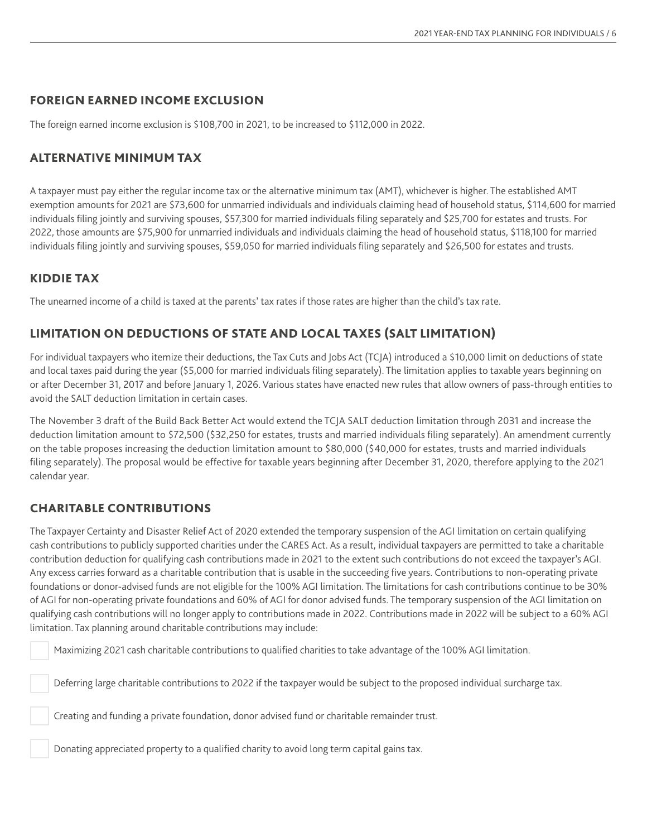## FOREIGN EARNED INCOME EXCLUSION

The foreign earned income exclusion is \$108,700 in 2021, to be increased to \$112,000 in 2022.

# ALTERNATIVE MINIMUM TAX

A taxpayer must pay either the regular income tax or the alternative minimum tax (AMT), whichever is higher. The established AMT exemption amounts for 2021 are \$73,600 for unmarried individuals and individuals claiming head of household status, \$114,600 for married individuals filing jointly and surviving spouses, \$57,300 for married individuals filing separately and \$25,700 for estates and trusts. For 2022, those amounts are \$75,900 for unmarried individuals and individuals claiming the head of household status, \$118,100 for married individuals filing jointly and surviving spouses, \$59,050 for married individuals filing separately and \$26,500 for estates and trusts.

## KIDDIE TAX

The unearned income of a child is taxed at the parents' tax rates if those rates are higher than the child's tax rate.

# LIMITATION ON DEDUCTIONS OF STATE AND LOCAL TAXES (SALT LIMITATION)

For individual taxpayers who itemize their deductions, the Tax Cuts and Jobs Act (TCJA) introduced a \$10,000 limit on deductions of state and local taxes paid during the year (\$5,000 for married individuals filing separately). The limitation applies to taxable years beginning on or after December 31, 2017 and before January 1, 2026. Various states have enacted new rules that allow owners of pass-through entities to avoid the SALT deduction limitation in certain cases.

The November 3 draft of the Build Back Better Act would extend the TCJA SALT deduction limitation through 2031 and increase the deduction limitation amount to \$72,500 (\$32,250 for estates, trusts and married individuals filing separately). An amendment currently on the table proposes increasing the deduction limitation amount to \$80,000 (\$40,000 for estates, trusts and married individuals filing separately). The proposal would be effective for taxable years beginning after December 31, 2020, therefore applying to the 2021 calendar year.

# CHARITABLE CONTRIBUTIONS

The Taxpayer Certainty and Disaster Relief Act of 2020 extended the temporary suspension of the AGI limitation on certain qualifying cash contributions to publicly supported charities under the CARES Act. As a result, individual taxpayers are permitted to take a charitable contribution deduction for qualifying cash contributions made in 2021 to the extent such contributions do not exceed the taxpayer's AGI. Any excess carries forward as a charitable contribution that is usable in the succeeding five years. Contributions to non-operating private foundations or donor-advised funds are not eligible for the 100% AGI limitation. The limitations for cash contributions continue to be 30% of AGI for non-operating private foundations and 60% of AGI for donor advised funds. The temporary suspension of the AGI limitation on qualifying cash contributions will no longer apply to contributions made in 2022. Contributions made in 2022 will be subject to a 60% AGI limitation. Tax planning around charitable contributions may include:

Maximizing 2021 cash charitable contributions to qualified charities to take advantage of the 100% AGI limitation.

Deferring large charitable contributions to 2022 if the taxpayer would be subject to the proposed individual surcharge tax.

Creating and funding a private foundation, donor advised fund or charitable remainder trust.

Donating appreciated property to a qualified charity to avoid long term capital gains tax.